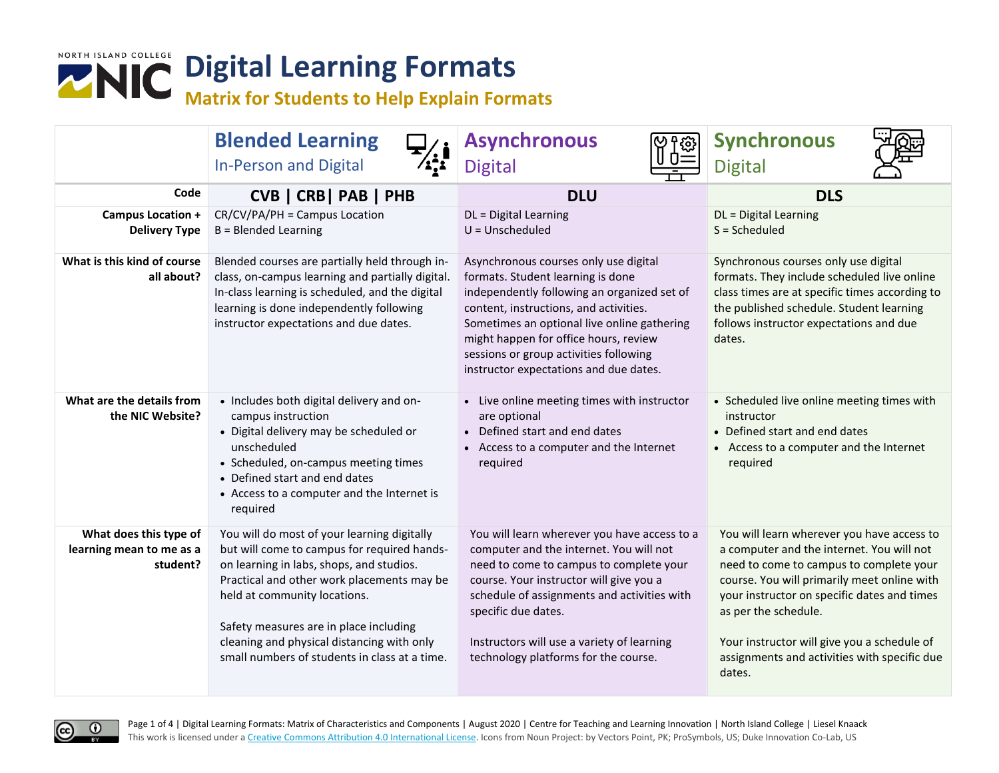

|                                                                | <b>Blended Learning</b><br><b>In-Person and Digital</b>                                                                                                                                                                                                                                                                                                       | <b>Asynchronous</b><br>छु<br><b>Digital</b>                                                                                                                                                                                                                                                                                                     | <b>Synchronous</b><br><b>Digital</b>                                                                                                                                                                                                                                                                                                                              |
|----------------------------------------------------------------|---------------------------------------------------------------------------------------------------------------------------------------------------------------------------------------------------------------------------------------------------------------------------------------------------------------------------------------------------------------|-------------------------------------------------------------------------------------------------------------------------------------------------------------------------------------------------------------------------------------------------------------------------------------------------------------------------------------------------|-------------------------------------------------------------------------------------------------------------------------------------------------------------------------------------------------------------------------------------------------------------------------------------------------------------------------------------------------------------------|
| Code                                                           | CVB   CRB   PAB   PHB                                                                                                                                                                                                                                                                                                                                         | <b>DLU</b>                                                                                                                                                                                                                                                                                                                                      | <b>DLS</b>                                                                                                                                                                                                                                                                                                                                                        |
| Campus Location +<br><b>Delivery Type</b>                      | CR/CV/PA/PH = Campus Location<br><b>B</b> = Blended Learning                                                                                                                                                                                                                                                                                                  | DL = Digital Learning<br>$U = Unscheduled$                                                                                                                                                                                                                                                                                                      | DL = Digital Learning<br>$S = Scheduled$                                                                                                                                                                                                                                                                                                                          |
| What is this kind of course<br>all about?                      | Blended courses are partially held through in-<br>class, on-campus learning and partially digital.<br>In-class learning is scheduled, and the digital<br>learning is done independently following<br>instructor expectations and due dates.                                                                                                                   | Asynchronous courses only use digital<br>formats. Student learning is done<br>independently following an organized set of<br>content, instructions, and activities.<br>Sometimes an optional live online gathering<br>might happen for office hours, review<br>sessions or group activities following<br>instructor expectations and due dates. | Synchronous courses only use digital<br>formats. They include scheduled live online<br>class times are at specific times according to<br>the published schedule. Student learning<br>follows instructor expectations and due<br>dates.                                                                                                                            |
| What are the details from<br>the NIC Website?                  | • Includes both digital delivery and on-<br>campus instruction<br>• Digital delivery may be scheduled or<br>unscheduled<br>• Scheduled, on-campus meeting times<br>• Defined start and end dates<br>• Access to a computer and the Internet is<br>required                                                                                                    | • Live online meeting times with instructor<br>are optional<br>• Defined start and end dates<br>• Access to a computer and the Internet<br>required                                                                                                                                                                                             | • Scheduled live online meeting times with<br>instructor<br>• Defined start and end dates<br>• Access to a computer and the Internet<br>required                                                                                                                                                                                                                  |
| What does this type of<br>learning mean to me as a<br>student? | You will do most of your learning digitally<br>but will come to campus for required hands-<br>on learning in labs, shops, and studios.<br>Practical and other work placements may be<br>held at community locations.<br>Safety measures are in place including<br>cleaning and physical distancing with only<br>small numbers of students in class at a time. | You will learn wherever you have access to a<br>computer and the internet. You will not<br>need to come to campus to complete your<br>course. Your instructor will give you a<br>schedule of assignments and activities with<br>specific due dates.<br>Instructors will use a variety of learning<br>technology platforms for the course.       | You will learn wherever you have access to<br>a computer and the internet. You will not<br>need to come to campus to complete your<br>course. You will primarily meet online with<br>your instructor on specific dates and times<br>as per the schedule.<br>Your instructor will give you a schedule of<br>assignments and activities with specific due<br>dates. |

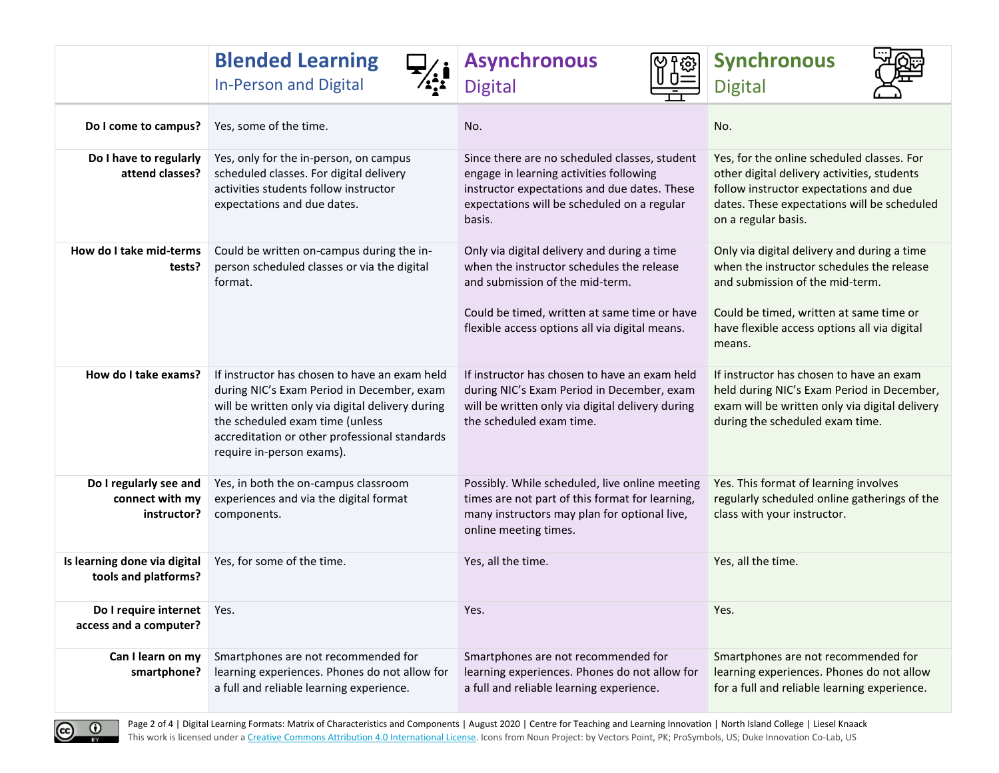|                                                          | <b>Blended Learning</b><br><b>In-Person and Digital</b>                                                                                                                                                                                                          | <b>Asynchronous</b><br><u>୍ବ</u> ୁ<br><b>Digital</b>                                                                                                                                                                          | <b>Synchronous</b><br><b>Digital</b>                                                                                                                                                                                             |
|----------------------------------------------------------|------------------------------------------------------------------------------------------------------------------------------------------------------------------------------------------------------------------------------------------------------------------|-------------------------------------------------------------------------------------------------------------------------------------------------------------------------------------------------------------------------------|----------------------------------------------------------------------------------------------------------------------------------------------------------------------------------------------------------------------------------|
| Do I come to campus?                                     | Yes, some of the time.                                                                                                                                                                                                                                           | No.                                                                                                                                                                                                                           | No.                                                                                                                                                                                                                              |
| Do I have to regularly<br>attend classes?                | Yes, only for the in-person, on campus<br>scheduled classes. For digital delivery<br>activities students follow instructor<br>expectations and due dates.                                                                                                        | Since there are no scheduled classes, student<br>engage in learning activities following<br>instructor expectations and due dates. These<br>expectations will be scheduled on a regular<br>basis.                             | Yes, for the online scheduled classes. For<br>other digital delivery activities, students<br>follow instructor expectations and due<br>dates. These expectations will be scheduled<br>on a regular basis.                        |
| How do I take mid-terms<br>tests?                        | Could be written on-campus during the in-<br>person scheduled classes or via the digital<br>format.                                                                                                                                                              | Only via digital delivery and during a time<br>when the instructor schedules the release<br>and submission of the mid-term.<br>Could be timed, written at same time or have<br>flexible access options all via digital means. | Only via digital delivery and during a time<br>when the instructor schedules the release<br>and submission of the mid-term.<br>Could be timed, written at same time or<br>have flexible access options all via digital<br>means. |
| How do I take exams?                                     | If instructor has chosen to have an exam held<br>during NIC's Exam Period in December, exam<br>will be written only via digital delivery during<br>the scheduled exam time (unless<br>accreditation or other professional standards<br>require in-person exams). | If instructor has chosen to have an exam held<br>during NIC's Exam Period in December, exam<br>will be written only via digital delivery during<br>the scheduled exam time.                                                   | If instructor has chosen to have an exam<br>held during NIC's Exam Period in December,<br>exam will be written only via digital delivery<br>during the scheduled exam time.                                                      |
| Do I regularly see and<br>connect with my<br>instructor? | Yes, in both the on-campus classroom<br>experiences and via the digital format<br>components.                                                                                                                                                                    | Possibly. While scheduled, live online meeting<br>times are not part of this format for learning,<br>many instructors may plan for optional live,<br>online meeting times.                                                    | Yes. This format of learning involves<br>regularly scheduled online gatherings of the<br>class with your instructor.                                                                                                             |
| Is learning done via digital<br>tools and platforms?     | Yes, for some of the time.                                                                                                                                                                                                                                       | Yes, all the time.                                                                                                                                                                                                            | Yes, all the time.                                                                                                                                                                                                               |
| Do I require internet   Yes.<br>access and a computer?   |                                                                                                                                                                                                                                                                  | Yes.                                                                                                                                                                                                                          | Yes.                                                                                                                                                                                                                             |
| Can I learn on my<br>smartphone?                         | Smartphones are not recommended for<br>learning experiences. Phones do not allow for<br>a full and reliable learning experience.                                                                                                                                 | Smartphones are not recommended for<br>learning experiences. Phones do not allow for<br>a full and reliable learning experience.                                                                                              | Smartphones are not recommended for<br>learning experiences. Phones do not allow<br>for a full and reliable learning experience.                                                                                                 |

 $\frac{0}{x}$  $\odot$ 

Page 2 of 4 | Digital Learning Formats: Matrix of Characteristics and Components | August 2020 | Centre for Teaching and Learning Innovation | North Island College | Liesel Knaack This work is licensed under a [Creative Commons Attribution 4.0 International License.](http://creativecommons.org/licenses/by/4.0/) Icons from Noun Project: by Vectors Point, PK; ProSymbols, US; Duke Innovation Co-Lab, US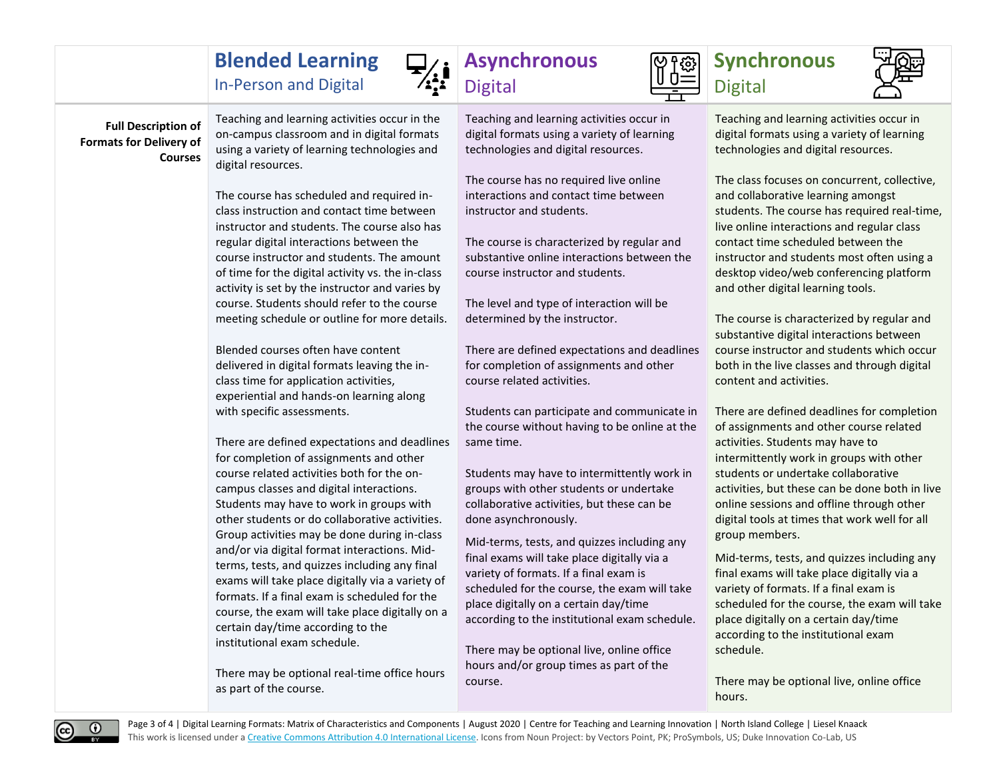## **Blended Learning**

In-Person and Digital

## **Full Description of Formats for Delivery of Courses**

Teaching and learning activities occur in the on-campus classroom and in digital formats using a variety of learning technologies and digital resources.

The course has scheduled and required inclass instruction and contact time between instructor and students. The course also has regular digital interactions between the course instructor and students. The amount of time for the digital activity vs. the in-class activity is set by the instructor and varies by course. Students should refer to the course meeting schedule or outline for more details.

Blended courses often have content delivered in digital formats leaving the inclass time for application activities, experiential and hands-on learning along with specific assessments.

There are defined expectations and deadlines for completion of assignments and other course related activities both for the oncampus classes and digital interactions. Students may have to work in groups with other students or do collaborative activities. Group activities may be done during in-class and/or via digital format interactions. Midterms, tests, and quizzes including any final exams will take place digitally via a variety of formats. If a final exam is scheduled for the course, the exam will take place digitally on a certain day/time according to the institutional exam schedule.

There may be optional real-time office hours as part of the course.

## **Asynchronous**



Teaching and learning activities occur in digital formats using a variety of learning technologies and digital resources.

The course has no required live online interactions and contact time between instructor and students.

The course is characterized by regular and substantive online interactions between the course instructor and students.

The level and type of interaction will be determined by the instructor.

There are defined expectations and deadlines for completion of assignments and other course related activities.

Students can participate and communicate in the course without having to be online at the same time.

Students may have to intermittently work in groups with other students or undertake collaborative activities, but these can be done asynchronously.

Mid-terms, tests, and quizzes including any final exams will take place digitally via a variety of formats. If a final exam is scheduled for the course, the exam will take place digitally on a certain day/time according to the institutional exam schedule.

There may be optional live, online office hours and/or group times as part of the course.





Teaching and learning activities occur in digital formats using a variety of learning technologies and digital resources.

The class focuses on concurrent, collective, and collaborative learning amongst students. The course has required real-time, live online interactions and regular class contact time scheduled between the instructor and students most often using a desktop video/web conferencing platform and other digital learning tools.

The course is characterized by regular and substantive digital interactions between course instructor and students which occur both in the live classes and through digital content and activities.

There are defined deadlines for completion of assignments and other course related activities. Students may have to intermittently work in groups with other students or undertake collaborative activities, but these can be done both in live online sessions and offline through other digital tools at times that work well for all group members.

Mid-terms, tests, and quizzes including any final exams will take place digitally via a variety of formats. If a final exam is scheduled for the course, the exam will take place digitally on a certain day/time according to the institutional exam schedule.

There may be optional live, online office hours.